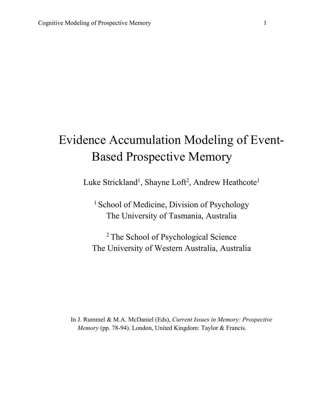# Evidence Accumulation Modeling of Event-Based Prospective Memory

Luke Strickland<sup>1</sup>, Shayne Loft<sup>2</sup>, Andrew Heathcote<sup>1</sup>

<sup>1</sup> School of Medicine, Division of Psychology The University of Tasmania, Australia

<sup>2</sup> The School of Psychological Science The University of Western Australia, Australia

In J. Rummel & M.A. McDaniel (Eds), *Current Issues in Memory: Prospective Memory* (pp. 78-94). London, United Kingdom: Taylor & Francis.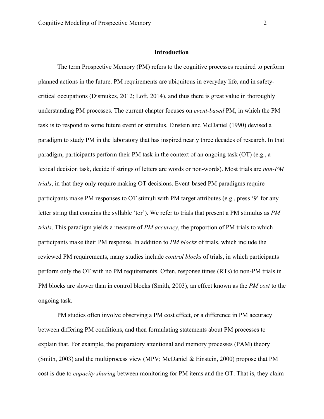## **Introduction**

The term Prospective Memory (PM) refers to the cognitive processes required to perform planned actions in the future. PM requirements are ubiquitous in everyday life, and in safetycritical occupations (Dismukes, 2012; Loft, 2014), and thus there is great value in thoroughly understanding PM processes. The current chapter focuses on *event-based* PM, in which the PM task is to respond to some future event or stimulus. Einstein and McDaniel (1990) devised a paradigm to study PM in the laboratory that has inspired nearly three decades of research. In that paradigm, participants perform their PM task in the context of an ongoing task (OT) (e.g., a lexical decision task, decide if strings of letters are words or non-words). Most trials are *non-PM trials*, in that they only require making OT decisions. Event-based PM paradigms require participants make PM responses to OT stimuli with PM target attributes (e.g., press '9' for any letter string that contains the syllable 'tor'). We refer to trials that present a PM stimulus as *PM trials*. This paradigm yields a measure of *PM accuracy*, the proportion of PM trials to which participants make their PM response. In addition to *PM blocks* of trials, which include the reviewed PM requirements, many studies include *control blocks* of trials, in which participants perform only the OT with no PM requirements. Often, response times (RTs) to non-PM trials in PM blocks are slower than in control blocks (Smith, 2003), an effect known as the *PM cost* to the ongoing task.

PM studies often involve observing a PM cost effect, or a difference in PM accuracy between differing PM conditions, and then formulating statements about PM processes to explain that. For example, the preparatory attentional and memory processes (PAM) theory (Smith, 2003) and the multiprocess view (MPV; McDaniel & Einstein, 2000) propose that PM cost is due to *capacity sharing* between monitoring for PM items and the OT. That is, they claim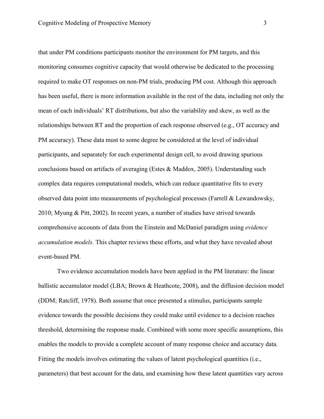that under PM conditions participants monitor the environment for PM targets, and this monitoring consumes cognitive capacity that would otherwise be dedicated to the processing required to make OT responses on non-PM trials, producing PM cost. Although this approach has been useful, there is more information available in the rest of the data, including not only the mean of each individuals' RT distributions, but also the variability and skew, as well as the relationships between RT and the proportion of each response observed (e.g., OT accuracy and PM accuracy). These data must to some degree be considered at the level of individual participants, and separately for each experimental design cell, to avoid drawing spurious conclusions based on artifacts of averaging (Estes & Maddox, 2005). Understanding such complex data requires computational models, which can reduce quantitative fits to every observed data point into measurements of psychological processes (Farrell & Lewandowsky, 2010; Myung & Pitt, 2002). In recent years, a number of studies have strived towards comprehensive accounts of data from the Einstein and McDaniel paradigm using *evidence accumulation models.* This chapter reviews these efforts, and what they have revealed about event-based PM.

Two evidence accumulation models have been applied in the PM literature: the linear ballistic accumulator model (LBA; Brown & Heathcote, 2008), and the diffusion decision model (DDM; Ratcliff, 1978). Both assume that once presented a stimulus, participants sample evidence towards the possible decisions they could make until evidence to a decision reaches threshold, determining the response made. Combined with some more specific assumptions, this enables the models to provide a complete account of many response choice and accuracy data. Fitting the models involves estimating the values of latent psychological quantities (i.e., parameters) that best account for the data, and examining how these latent quantities vary across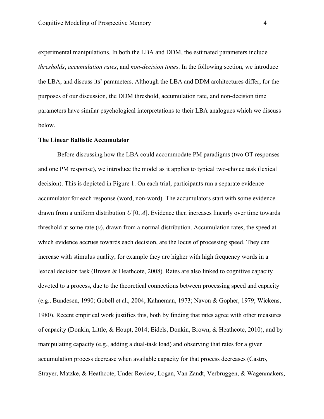experimental manipulations. In both the LBA and DDM, the estimated parameters include *thresholds*, *accumulation rates*, and *non-decision times*. In the following section, we introduce the LBA, and discuss its' parameters. Although the LBA and DDM architectures differ, for the purposes of our discussion, the DDM threshold, accumulation rate, and non-decision time parameters have similar psychological interpretations to their LBA analogues which we discuss below.

#### **The Linear Ballistic Accumulator**

Before discussing how the LBA could accommodate PM paradigms (two OT responses and one PM response), we introduce the model as it applies to typical two-choice task (lexical decision). This is depicted in Figure 1. On each trial, participants run a separate evidence accumulator for each response (word, non-word). The accumulators start with some evidence drawn from a uniform distribution *U* [0, *A*]. Evidence then increases linearly over time towards threshold at some rate  $(v)$ , drawn from a normal distribution. Accumulation rates, the speed at which evidence accrues towards each decision, are the locus of processing speed. They can increase with stimulus quality, for example they are higher with high frequency words in a lexical decision task (Brown & Heathcote, 2008). Rates are also linked to cognitive capacity devoted to a process, due to the theoretical connections between processing speed and capacity (e.g., Bundesen, 1990; Gobell et al., 2004; Kahneman, 1973; Navon & Gopher, 1979; Wickens, 1980). Recent empirical work justifies this, both by finding that rates agree with other measures of capacity (Donkin, Little, & Houpt, 2014; Eidels, Donkin, Brown, & Heathcote, 2010), and by manipulating capacity (e.g., adding a dual-task load) and observing that rates for a given accumulation process decrease when available capacity for that process decreases (Castro, Strayer, Matzke, & Heathcote, Under Review; Logan, Van Zandt, Verbruggen, & Wagenmakers,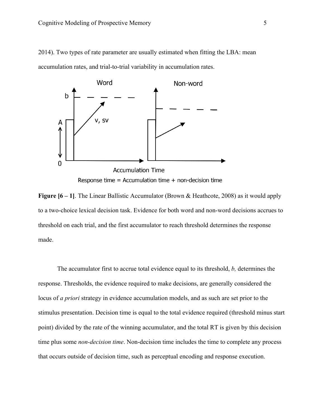2014). Two types of rate parameter are usually estimated when fitting the LBA: mean accumulation rates, and trial-to-trial variability in accumulation rates.



**Figure [6 – 1]**. The Linear Ballistic Accumulator (Brown & Heathcote, 2008) as it would apply to a two-choice lexical decision task. Evidence for both word and non-word decisions accrues to threshold on each trial, and the first accumulator to reach threshold determines the response made.

The accumulator first to accrue total evidence equal to its threshold, *b,* determines the response. Thresholds, the evidence required to make decisions, are generally considered the locus of *a priori* strategy in evidence accumulation models, and as such are set prior to the stimulus presentation. Decision time is equal to the total evidence required (threshold minus start point) divided by the rate of the winning accumulator, and the total RT is given by this decision time plus some *non-decision time*. Non-decision time includes the time to complete any process that occurs outside of decision time, such as perceptual encoding and response execution.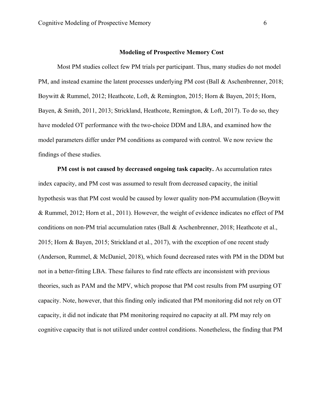## **Modeling of Prospective Memory Cost**

Most PM studies collect few PM trials per participant. Thus, many studies do not model PM, and instead examine the latent processes underlying PM cost (Ball & Aschenbrenner, 2018; Boywitt & Rummel, 2012; Heathcote, Loft, & Remington, 2015; Horn & Bayen, 2015; Horn, Bayen, & Smith, 2011, 2013; Strickland, Heathcote, Remington, & Loft, 2017). To do so, they have modeled OT performance with the two-choice DDM and LBA, and examined how the model parameters differ under PM conditions as compared with control. We now review the findings of these studies.

**PM cost is not caused by decreased ongoing task capacity.** As accumulation rates index capacity, and PM cost was assumed to result from decreased capacity, the initial hypothesis was that PM cost would be caused by lower quality non-PM accumulation (Boywitt & Rummel, 2012; Horn et al., 2011). However, the weight of evidence indicates no effect of PM conditions on non-PM trial accumulation rates (Ball & Aschenbrenner, 2018; Heathcote et al., 2015; Horn & Bayen, 2015; Strickland et al., 2017), with the exception of one recent study (Anderson, Rummel, & McDaniel, 2018), which found decreased rates with PM in the DDM but not in a better-fitting LBA. These failures to find rate effects are inconsistent with previous theories, such as PAM and the MPV, which propose that PM cost results from PM usurping OT capacity. Note, however, that this finding only indicated that PM monitoring did not rely on OT capacity, it did not indicate that PM monitoring required no capacity at all. PM may rely on cognitive capacity that is not utilized under control conditions. Nonetheless, the finding that PM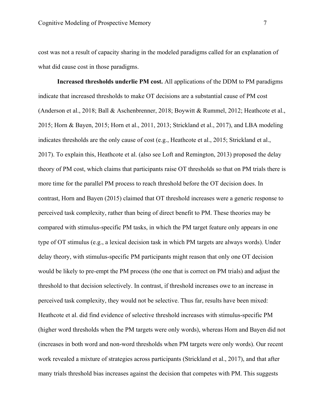cost was not a result of capacity sharing in the modeled paradigms called for an explanation of what did cause cost in those paradigms.

**Increased thresholds underlie PM cost.** All applications of the DDM to PM paradigms indicate that increased thresholds to make OT decisions are a substantial cause of PM cost (Anderson et al., 2018; Ball & Aschenbrenner, 2018; Boywitt & Rummel, 2012; Heathcote et al., 2015; Horn & Bayen, 2015; Horn et al., 2011, 2013; Strickland et al., 2017), and LBA modeling indicates thresholds are the only cause of cost (e.g., Heathcote et al., 2015; Strickland et al., 2017). To explain this, Heathcote et al. (also see Loft and Remington, 2013) proposed the delay theory of PM cost, which claims that participants raise OT thresholds so that on PM trials there is more time for the parallel PM process to reach threshold before the OT decision does. In contrast, Horn and Bayen (2015) claimed that OT threshold increases were a generic response to perceived task complexity, rather than being of direct benefit to PM. These theories may be compared with stimulus-specific PM tasks, in which the PM target feature only appears in one type of OT stimulus (e.g., a lexical decision task in which PM targets are always words). Under delay theory, with stimulus-specific PM participants might reason that only one OT decision would be likely to pre-empt the PM process (the one that is correct on PM trials) and adjust the threshold to that decision selectively. In contrast, if threshold increases owe to an increase in perceived task complexity, they would not be selective. Thus far, results have been mixed: Heathcote et al. did find evidence of selective threshold increases with stimulus-specific PM (higher word thresholds when the PM targets were only words), whereas Horn and Bayen did not (increases in both word and non-word thresholds when PM targets were only words). Our recent work revealed a mixture of strategies across participants (Strickland et al., 2017), and that after many trials threshold bias increases against the decision that competes with PM. This suggests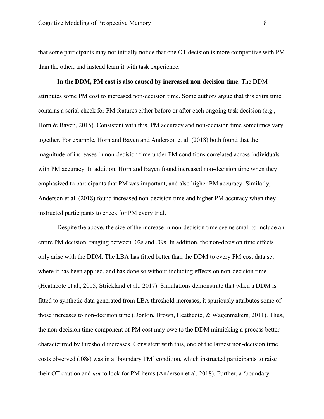that some participants may not initially notice that one OT decision is more competitive with PM than the other, and instead learn it with task experience.

**In the DDM, PM cost is also caused by increased non-decision time.** The DDM attributes some PM cost to increased non-decision time. Some authors argue that this extra time contains a serial check for PM features either before or after each ongoing task decision (e.g., Horn & Bayen, 2015). Consistent with this, PM accuracy and non-decision time sometimes vary together. For example, Horn and Bayen and Anderson et al. (2018) both found that the magnitude of increases in non-decision time under PM conditions correlated across individuals with PM accuracy. In addition, Horn and Bayen found increased non-decision time when they emphasized to participants that PM was important, and also higher PM accuracy. Similarly, Anderson et al. (2018) found increased non-decision time and higher PM accuracy when they instructed participants to check for PM every trial.

Despite the above, the size of the increase in non-decision time seems small to include an entire PM decision, ranging between .02s and .09s. In addition, the non-decision time effects only arise with the DDM. The LBA has fitted better than the DDM to every PM cost data set where it has been applied, and has done so without including effects on non-decision time (Heathcote et al., 2015; Strickland et al., 2017). Simulations demonstrate that when a DDM is fitted to synthetic data generated from LBA threshold increases, it spuriously attributes some of those increases to non-decision time (Donkin, Brown, Heathcote, & Wagenmakers, 2011). Thus, the non-decision time component of PM cost may owe to the DDM mimicking a process better characterized by threshold increases. Consistent with this, one of the largest non-decision time costs observed (.08s) was in a 'boundary PM' condition, which instructed participants to raise their OT caution and *not* to look for PM items (Anderson et al. 2018). Further, a 'boundary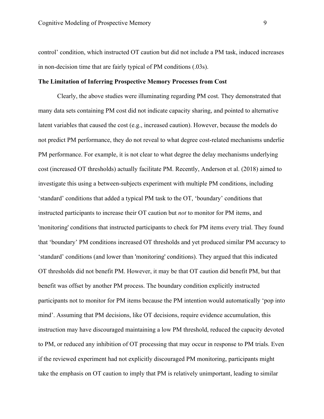control' condition, which instructed OT caution but did not include a PM task, induced increases in non-decision time that are fairly typical of PM conditions (.03s).

## **The Limitation of Inferring Prospective Memory Processes from Cost**

Clearly, the above studies were illuminating regarding PM cost. They demonstrated that many data sets containing PM cost did not indicate capacity sharing, and pointed to alternative latent variables that caused the cost (e.g., increased caution). However, because the models do not predict PM performance, they do not reveal to what degree cost-related mechanisms underlie PM performance. For example, it is not clear to what degree the delay mechanisms underlying cost (increased OT thresholds) actually facilitate PM. Recently, Anderson et al. (2018) aimed to investigate this using a between-subjects experiment with multiple PM conditions, including 'standard' conditions that added a typical PM task to the OT, 'boundary' conditions that instructed participants to increase their OT caution but *not* to monitor for PM items, and 'monitoring' conditions that instructed participants to check for PM items every trial. They found that 'boundary' PM conditions increased OT thresholds and yet produced similar PM accuracy to 'standard' conditions (and lower than 'monitoring' conditions). They argued that this indicated OT thresholds did not benefit PM. However, it may be that OT caution did benefit PM, but that benefit was offset by another PM process. The boundary condition explicitly instructed participants not to monitor for PM items because the PM intention would automatically 'pop into mind'. Assuming that PM decisions, like OT decisions, require evidence accumulation, this instruction may have discouraged maintaining a low PM threshold, reduced the capacity devoted to PM, or reduced any inhibition of OT processing that may occur in response to PM trials. Even if the reviewed experiment had not explicitly discouraged PM monitoring, participants might take the emphasis on OT caution to imply that PM is relatively unimportant, leading to similar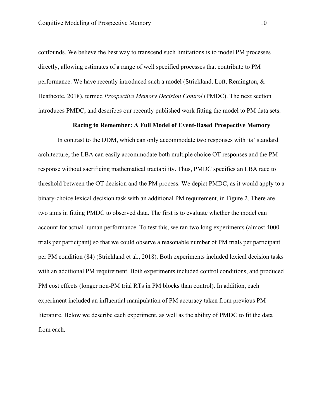confounds. We believe the best way to transcend such limitations is to model PM processes directly, allowing estimates of a range of well specified processes that contribute to PM performance. We have recently introduced such a model (Strickland, Loft, Remington, & Heathcote, 2018), termed *Prospective Memory Decision Control* (PMDC). The next section introduces PMDC, and describes our recently published work fitting the model to PM data sets.

### **Racing to Remember: A Full Model of Event-Based Prospective Memory**

In contrast to the DDM, which can only accommodate two responses with its' standard architecture, the LBA can easily accommodate both multiple choice OT responses and the PM response without sacrificing mathematical tractability. Thus, PMDC specifies an LBA race to threshold between the OT decision and the PM process. We depict PMDC, as it would apply to a binary-choice lexical decision task with an additional PM requirement, in Figure 2. There are two aims in fitting PMDC to observed data. The first is to evaluate whether the model can account for actual human performance. To test this, we ran two long experiments (almost 4000 trials per participant) so that we could observe a reasonable number of PM trials per participant per PM condition (84) (Strickland et al., 2018). Both experiments included lexical decision tasks with an additional PM requirement. Both experiments included control conditions, and produced PM cost effects (longer non-PM trial RTs in PM blocks than control). In addition, each experiment included an influential manipulation of PM accuracy taken from previous PM literature. Below we describe each experiment, as well as the ability of PMDC to fit the data from each.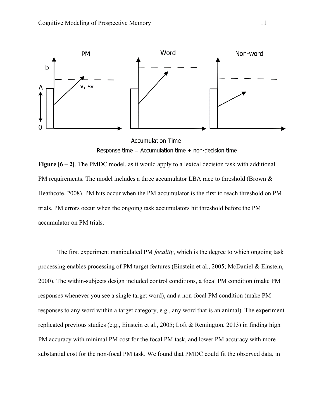

**Accumulation Time** Response time = Accumulation time + non-decision time

**Figure [6 – 2]**. The PMDC model, as it would apply to a lexical decision task with additional PM requirements. The model includes a three accumulator LBA race to threshold (Brown & Heathcote, 2008). PM hits occur when the PM accumulator is the first to reach threshold on PM trials. PM errors occur when the ongoing task accumulators hit threshold before the PM accumulator on PM trials.

The first experiment manipulated PM *focality*, which is the degree to which ongoing task processing enables processing of PM target features (Einstein et al., 2005; McDaniel & Einstein, 2000). The within-subjects design included control conditions, a focal PM condition (make PM responses whenever you see a single target word), and a non-focal PM condition (make PM responses to any word within a target category, e.g., any word that is an animal). The experiment replicated previous studies (e.g., Einstein et al., 2005; Loft & Remington, 2013) in finding high PM accuracy with minimal PM cost for the focal PM task, and lower PM accuracy with more substantial cost for the non-focal PM task. We found that PMDC could fit the observed data, in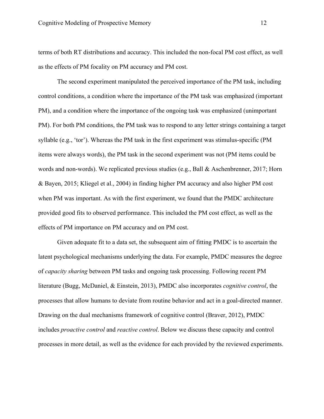terms of both RT distributions and accuracy. This included the non-focal PM cost effect, as well as the effects of PM focality on PM accuracy and PM cost.

The second experiment manipulated the perceived importance of the PM task, including control conditions, a condition where the importance of the PM task was emphasized (important PM), and a condition where the importance of the ongoing task was emphasized (unimportant PM). For both PM conditions, the PM task was to respond to any letter strings containing a target syllable (e.g., 'tor'). Whereas the PM task in the first experiment was stimulus-specific (PM items were always words), the PM task in the second experiment was not (PM items could be words and non-words). We replicated previous studies (e.g., Ball & Aschenbrenner, 2017; Horn & Bayen, 2015; Kliegel et al., 2004) in finding higher PM accuracy and also higher PM cost when PM was important. As with the first experiment, we found that the PMDC architecture provided good fits to observed performance. This included the PM cost effect, as well as the effects of PM importance on PM accuracy and on PM cost.

Given adequate fit to a data set, the subsequent aim of fitting PMDC is to ascertain the latent psychological mechanisms underlying the data. For example, PMDC measures the degree of *capacity sharing* between PM tasks and ongoing task processing. Following recent PM literature (Bugg, McDaniel, & Einstein, 2013), PMDC also incorporates *cognitive control*, the processes that allow humans to deviate from routine behavior and act in a goal-directed manner. Drawing on the dual mechanisms framework of cognitive control (Braver, 2012), PMDC includes *proactive control* and *reactive control*. Below we discuss these capacity and control processes in more detail, as well as the evidence for each provided by the reviewed experiments.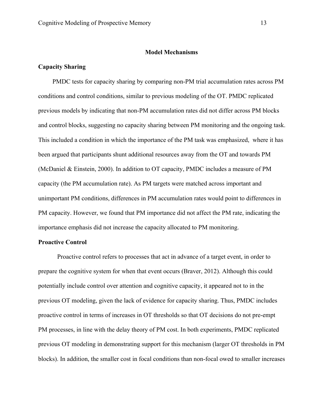## **Model Mechanisms**

## **Capacity Sharing**

PMDC tests for capacity sharing by comparing non-PM trial accumulation rates across PM conditions and control conditions, similar to previous modeling of the OT. PMDC replicated previous models by indicating that non-PM accumulation rates did not differ across PM blocks and control blocks, suggesting no capacity sharing between PM monitoring and the ongoing task. This included a condition in which the importance of the PM task was emphasized, where it has been argued that participants shunt additional resources away from the OT and towards PM (McDaniel & Einstein, 2000). In addition to OT capacity, PMDC includes a measure of PM capacity (the PM accumulation rate). As PM targets were matched across important and unimportant PM conditions, differences in PM accumulation rates would point to differences in PM capacity. However, we found that PM importance did not affect the PM rate, indicating the importance emphasis did not increase the capacity allocated to PM monitoring.

#### **Proactive Control**

Proactive control refers to processes that act in advance of a target event, in order to prepare the cognitive system for when that event occurs (Braver, 2012). Although this could potentially include control over attention and cognitive capacity, it appeared not to in the previous OT modeling, given the lack of evidence for capacity sharing. Thus, PMDC includes proactive control in terms of increases in OT thresholds so that OT decisions do not pre-empt PM processes, in line with the delay theory of PM cost. In both experiments, PMDC replicated previous OT modeling in demonstrating support for this mechanism (larger OT thresholds in PM blocks). In addition, the smaller cost in focal conditions than non-focal owed to smaller increases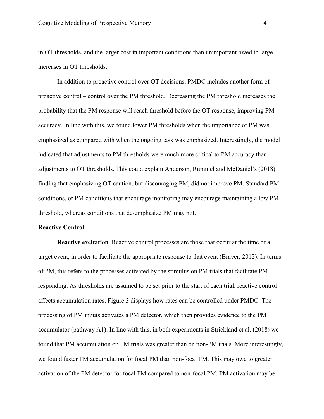in OT thresholds, and the larger cost in important conditions than unimportant owed to large increases in OT thresholds.

In addition to proactive control over OT decisions, PMDC includes another form of proactive control – control over the PM threshold. Decreasing the PM threshold increases the probability that the PM response will reach threshold before the OT response, improving PM accuracy. In line with this, we found lower PM thresholds when the importance of PM was emphasized as compared with when the ongoing task was emphasized. Interestingly, the model indicated that adjustments to PM thresholds were much more critical to PM accuracy than adjustments to OT thresholds. This could explain Anderson, Rummel and McDaniel's (2018) finding that emphasizing OT caution, but discouraging PM, did not improve PM. Standard PM conditions, or PM conditions that encourage monitoring may encourage maintaining a low PM threshold, whereas conditions that de-emphasize PM may not.

# **Reactive Control**

**Reactive excitation**. Reactive control processes are those that occur at the time of a target event, in order to facilitate the appropriate response to that event (Braver, 2012). In terms of PM, this refers to the processes activated by the stimulus on PM trials that facilitate PM responding. As thresholds are assumed to be set prior to the start of each trial, reactive control affects accumulation rates. Figure 3 displays how rates can be controlled under PMDC. The processing of PM inputs activates a PM detector, which then provides evidence to the PM accumulator (pathway A1). In line with this, in both experiments in Strickland et al. (2018) we found that PM accumulation on PM trials was greater than on non-PM trials. More interestingly, we found faster PM accumulation for focal PM than non-focal PM. This may owe to greater activation of the PM detector for focal PM compared to non-focal PM. PM activation may be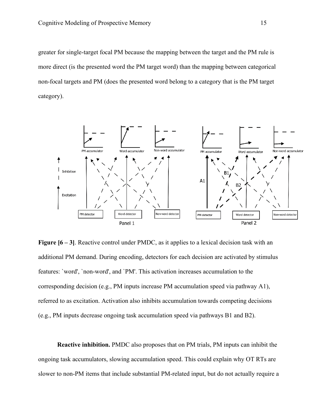greater for single-target focal PM because the mapping between the target and the PM rule is more direct (is the presented word the PM target word) than the mapping between categorical non-focal targets and PM (does the presented word belong to a category that is the PM target category).



**Figure [6 – 3]**. Reactive control under PMDC, as it applies to a lexical decision task with an additional PM demand. During encoding, detectors for each decision are activated by stimulus features: `word', `non-word', and `PM'. This activation increases accumulation to the corresponding decision (e.g., PM inputs increase PM accumulation speed via pathway A1), referred to as excitation. Activation also inhibits accumulation towards competing decisions (e.g., PM inputs decrease ongoing task accumulation speed via pathways B1 and B2).

**Reactive inhibition.** PMDC also proposes that on PM trials, PM inputs can inhibit the ongoing task accumulators, slowing accumulation speed. This could explain why OT RTs are slower to non-PM items that include substantial PM-related input, but do not actually require a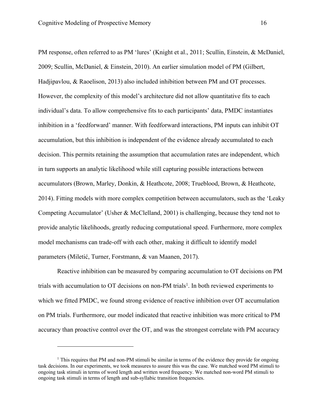$\overline{a}$ 

PM response, often referred to as PM 'lures' (Knight et al., 2011; Scullin, Einstein, & McDaniel, 2009; Scullin, McDaniel, & Einstein, 2010). An earlier simulation model of PM (Gilbert, Hadjipavlou, & Raoelison, 2013) also included inhibition between PM and OT processes. However, the complexity of this model's architecture did not allow quantitative fits to each individual's data. To allow comprehensive fits to each participants' data, PMDC instantiates inhibition in a 'feedforward' manner. With feedforward interactions, PM inputs can inhibit OT accumulation, but this inhibition is independent of the evidence already accumulated to each decision. This permits retaining the assumption that accumulation rates are independent, which in turn supports an analytic likelihood while still capturing possible interactions between accumulators (Brown, Marley, Donkin, & Heathcote, 2008; Trueblood, Brown, & Heathcote, 2014). Fitting models with more complex competition between accumulators, such as the 'Leaky Competing Accumulator' (Usher & McClelland, 2001) is challenging, because they tend not to provide analytic likelihoods, greatly reducing computational speed. Furthermore, more complex model mechanisms can trade-off with each other, making it difficult to identify model parameters (Miletić, Turner, Forstmann, & van Maanen, 2017).

Reactive inhibition can be measured by comparing accumulation to OT decisions on PM trials with accumulation to OT decisions on non-PM trials<sup>1</sup>. In both reviewed experiments to which we fitted PMDC, we found strong evidence of reactive inhibition over OT accumulation on PM trials. Furthermore, our model indicated that reactive inhibition was more critical to PM accuracy than proactive control over the OT, and was the strongest correlate with PM accuracy

 $<sup>1</sup>$  This requires that PM and non-PM stimuli be similar in terms of the evidence they provide for ongoing</sup> task decisions. In our experiments, we took measures to assure this was the case. We matched word PM stimuli to ongoing task stimuli in terms of word length and written word frequency. We matched non-word PM stimuli to ongoing task stimuli in terms of length and sub-syllabic transition frequencies.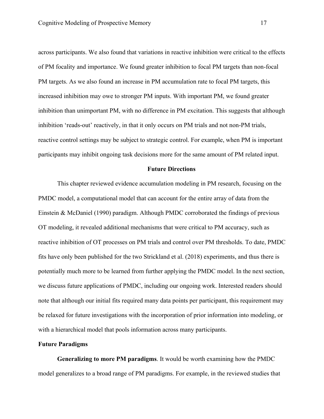across participants. We also found that variations in reactive inhibition were critical to the effects of PM focality and importance. We found greater inhibition to focal PM targets than non-focal PM targets. As we also found an increase in PM accumulation rate to focal PM targets, this increased inhibition may owe to stronger PM inputs. With important PM, we found greater inhibition than unimportant PM, with no difference in PM excitation. This suggests that although inhibition 'reads-out' reactively, in that it only occurs on PM trials and not non-PM trials, reactive control settings may be subject to strategic control. For example, when PM is important participants may inhibit ongoing task decisions more for the same amount of PM related input.

## **Future Directions**

This chapter reviewed evidence accumulation modeling in PM research, focusing on the PMDC model, a computational model that can account for the entire array of data from the Einstein & McDaniel (1990) paradigm. Although PMDC corroborated the findings of previous OT modeling, it revealed additional mechanisms that were critical to PM accuracy, such as reactive inhibition of OT processes on PM trials and control over PM thresholds. To date, PMDC fits have only been published for the two Strickland et al. (2018) experiments, and thus there is potentially much more to be learned from further applying the PMDC model. In the next section, we discuss future applications of PMDC, including our ongoing work. Interested readers should note that although our initial fits required many data points per participant, this requirement may be relaxed for future investigations with the incorporation of prior information into modeling, or with a hierarchical model that pools information across many participants.

#### **Future Paradigms**

**Generalizing to more PM paradigms**. It would be worth examining how the PMDC model generalizes to a broad range of PM paradigms. For example, in the reviewed studies that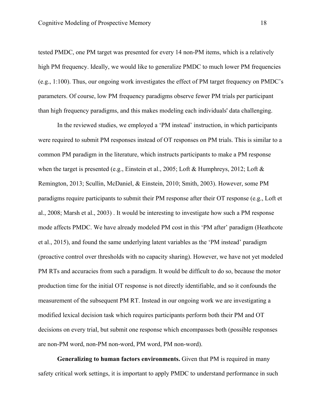tested PMDC, one PM target was presented for every 14 non-PM items, which is a relatively high PM frequency. Ideally, we would like to generalize PMDC to much lower PM frequencies (e.g., 1:100). Thus, our ongoing work investigates the effect of PM target frequency on PMDC's parameters. Of course, low PM frequency paradigms observe fewer PM trials per participant than high frequency paradigms, and this makes modeling each individuals' data challenging.

In the reviewed studies, we employed a 'PM instead' instruction, in which participants were required to submit PM responses instead of OT responses on PM trials. This is similar to a common PM paradigm in the literature, which instructs participants to make a PM response when the target is presented (e.g., Einstein et al., 2005; Loft & Humphreys, 2012; Loft & Remington, 2013; Scullin, McDaniel, & Einstein, 2010; Smith, 2003). However, some PM paradigms require participants to submit their PM response after their OT response (e.g., Loft et al., 2008; Marsh et al., 2003) . It would be interesting to investigate how such a PM response mode affects PMDC. We have already modeled PM cost in this 'PM after' paradigm (Heathcote et al., 2015), and found the same underlying latent variables as the 'PM instead' paradigm (proactive control over thresholds with no capacity sharing). However, we have not yet modeled PM RTs and accuracies from such a paradigm. It would be difficult to do so, because the motor production time for the initial OT response is not directly identifiable, and so it confounds the measurement of the subsequent PM RT. Instead in our ongoing work we are investigating a modified lexical decision task which requires participants perform both their PM and OT decisions on every trial, but submit one response which encompasses both (possible responses are non-PM word, non-PM non-word, PM word, PM non-word).

**Generalizing to human factors environments.** Given that PM is required in many safety critical work settings, it is important to apply PMDC to understand performance in such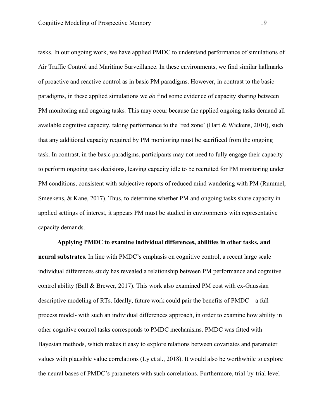tasks. In our ongoing work, we have applied PMDC to understand performance of simulations of Air Traffic Control and Maritime Surveillance. In these environments, we find similar hallmarks of proactive and reactive control as in basic PM paradigms. However, in contrast to the basic paradigms, in these applied simulations we *do* find some evidence of capacity sharing between PM monitoring and ongoing tasks*.* This may occur because the applied ongoing tasks demand all available cognitive capacity, taking performance to the 'red zone' (Hart & Wickens, 2010), such that any additional capacity required by PM monitoring must be sacrificed from the ongoing task. In contrast, in the basic paradigms, participants may not need to fully engage their capacity to perform ongoing task decisions, leaving capacity idle to be recruited for PM monitoring under PM conditions, consistent with subjective reports of reduced mind wandering with PM (Rummel, Smeekens, & Kane, 2017). Thus, to determine whether PM and ongoing tasks share capacity in applied settings of interest, it appears PM must be studied in environments with representative capacity demands.

**Applying PMDC to examine individual differences, abilities in other tasks, and neural substrates.** In line with PMDC's emphasis on cognitive control, a recent large scale individual differences study has revealed a relationship between PM performance and cognitive control ability (Ball & Brewer, 2017). This work also examined PM cost with ex-Gaussian descriptive modeling of RTs. Ideally, future work could pair the benefits of PMDC – a full process model- with such an individual differences approach, in order to examine how ability in other cognitive control tasks corresponds to PMDC mechanisms. PMDC was fitted with Bayesian methods, which makes it easy to explore relations between covariates and parameter values with plausible value correlations (Ly et al., 2018). It would also be worthwhile to explore the neural bases of PMDC's parameters with such correlations. Furthermore, trial-by-trial level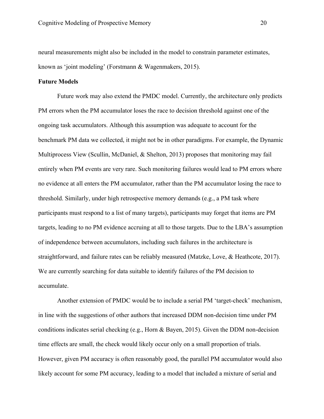neural measurements might also be included in the model to constrain parameter estimates, known as 'joint modeling' (Forstmann & Wagenmakers, 2015).

# **Future Models**

Future work may also extend the PMDC model. Currently, the architecture only predicts PM errors when the PM accumulator loses the race to decision threshold against one of the ongoing task accumulators. Although this assumption was adequate to account for the benchmark PM data we collected, it might not be in other paradigms. For example, the Dynamic Multiprocess View (Scullin, McDaniel, & Shelton, 2013) proposes that monitoring may fail entirely when PM events are very rare. Such monitoring failures would lead to PM errors where no evidence at all enters the PM accumulator, rather than the PM accumulator losing the race to threshold. Similarly, under high retrospective memory demands (e.g., a PM task where participants must respond to a list of many targets), participants may forget that items are PM targets, leading to no PM evidence accruing at all to those targets. Due to the LBA's assumption of independence between accumulators, including such failures in the architecture is straightforward, and failure rates can be reliably measured (Matzke, Love, & Heathcote, 2017). We are currently searching for data suitable to identify failures of the PM decision to accumulate.

Another extension of PMDC would be to include a serial PM 'target-check' mechanism, in line with the suggestions of other authors that increased DDM non-decision time under PM conditions indicates serial checking (e.g., Horn & Bayen, 2015). Given the DDM non-decision time effects are small, the check would likely occur only on a small proportion of trials. However, given PM accuracy is often reasonably good, the parallel PM accumulator would also likely account for some PM accuracy, leading to a model that included a mixture of serial and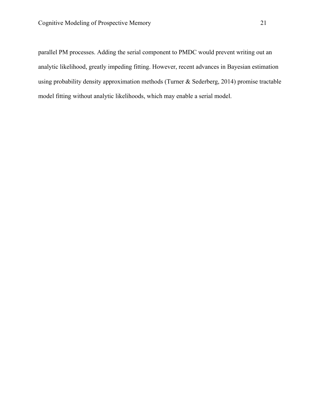parallel PM processes. Adding the serial component to PMDC would prevent writing out an analytic likelihood, greatly impeding fitting. However, recent advances in Bayesian estimation using probability density approximation methods (Turner & Sederberg, 2014) promise tractable model fitting without analytic likelihoods, which may enable a serial model.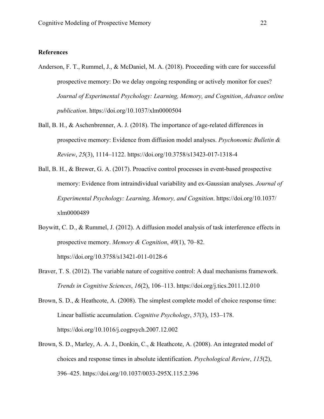# **References**

- Anderson, F. T., Rummel, J., & McDaniel, M. A. (2018). Proceeding with care for successful prospective memory: Do we delay ongoing responding or actively monitor for cues? *Journal of Experimental Psychology: Learning, Memory, and Cognition*, *Advance online publication*. https://doi.org/10.1037/xlm0000504
- Ball, B. H., & Aschenbrenner, A. J. (2018). The importance of age-related differences in prospective memory: Evidence from diffusion model analyses. *Psychonomic Bulletin & Review*, *25*(3), 1114–1122. https://doi.org/10.3758/s13423-017-1318-4
- Ball, B. H., & Brewer, G. A. (2017). Proactive control processes in event-based prospective memory: Evidence from intraindividual variability and ex-Gaussian analyses. *Journal of Experimental Psychology: Learning, Memory, and Cognition*. https://doi.org/10.1037/ xlm0000489
- Boywitt, C. D., & Rummel, J. (2012). A diffusion model analysis of task interference effects in prospective memory. *Memory & Cognition*, *40*(1), 70–82. https://doi.org/10.3758/s13421-011-0128-6
- Braver, T. S. (2012). The variable nature of cognitive control: A dual mechanisms framework. *Trends in Cognitive Sciences*, *16*(2), 106–113. https://doi.org/j.tics.2011.12.010
- Brown, S. D., & Heathcote, A. (2008). The simplest complete model of choice response time: Linear ballistic accumulation. *Cognitive Psychology*, *57*(3), 153–178. https://doi.org/10.1016/j.cogpsych.2007.12.002
- Brown, S. D., Marley, A. A. J., Donkin, C., & Heathcote, A. (2008). An integrated model of choices and response times in absolute identification. *Psychological Review*, *115*(2), 396–425. https://doi.org/10.1037/0033-295X.115.2.396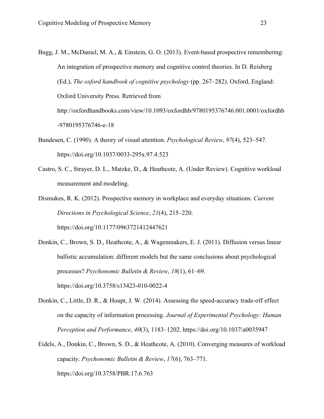- Bugg, J. M., McDaniel, M. A., & Einstein, G. O. (2013). Event-based prospective remembering: An integration of prospective memory and cognitive control theories. In D. Reisberg (Ed.), *The oxford handbook of cognitive psychology* (pp. 267–282). Oxford, England: Oxford University Press. Retrieved from http://oxfordhandbooks.com/view/10.1093/oxfordhb/9780195376746.001.0001/oxfordhb -9780195376746-e-18
- Bundesen, C. (1990). A theory of visual attention. *Psychological Review*, *97*(4), 523–547. https://doi.org/10.1037/0033-295x.97.4.523
- Castro, S. C., Strayer, D. L., Matzke, D., & Heathcote, A. (Under Review). Cognitive workload measurement and modeling.
- Dismukes, R. K. (2012). Prospective memory in workplace and everyday situations. *Current Directions in Psychological Science*, *21*(4), 215–220. https://doi.org/10.1177/0963721412447621
- Donkin, C., Brown, S. D., Heathcote, A., & Wagenmakers, E. J. (2011). Diffusion versus linear ballistic accumulation: different models but the same conclusions about psychological processes? *Psychonomic Bulletin & Review*, *18*(1), 61–69.

https://doi.org/10.3758/s13423-010-0022-4

- Donkin, C., Little, D. R., & Houpt, J. W. (2014). Assessing the speed-accuracy trade-off effect on the capacity of information processing. *Journal of Experimental Psychology: Human Perception and Performance*, *40*(3), 1183–1202. https://doi.org/10.1037/a0035947
- Eidels, A., Donkin, C., Brown, S. D., & Heathcote, A. (2010). Converging measures of workload capacity. *Psychonomic Bulletin & Review*, *17*(6), 763–771. https://doi.org/10.3758/PBR.17.6.763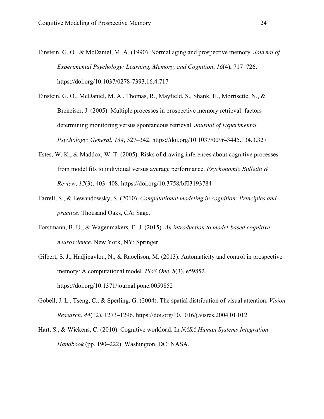- Einstein, G. O., & McDaniel, M. A. (1990). Normal aging and prospective memory. *Journal of Experimental Psychology: Learning, Memory, and Cognition*, *16*(4), 717–726. https://doi.org/10.1037/0278-7393.16.4.717
- Einstein, G. O., McDaniel, M. A., Thomas, R., Mayfield, S., Shank, H., Morrisette, N., & Breneiser, J. (2005). Multiple processes in prospective memory retrieval: factors determining monitoring versus spontaneous retrieval. *Journal of Experimental Psychology: General*, *134*, 327–342. https://doi.org/10.1037/0096-3445.134.3.327
- Estes, W. K., & Maddox, W. T. (2005). Risks of drawing inferences about cognitive processes from model fits to individual versus average performance. *Psychonomic Bulletin & Review*, *12*(3), 403–408. https://doi.org/10.3758/bf03193784
- Farrell, S., & Lewandowsky, S. (2010). *Computational modeling in cognition: Principles and practice*. Thousand Oaks, CA: Sage.
- Forstmann, B. U., & Wagenmakers, E.-J. (2015). *An introduction to model-based cognitive neuroscience*. New York, NY: Springer.
- Gilbert, S. J., Hadjipavlou, N., & Raoelison, M. (2013). Automaticity and control in prospective memory: A computational model. *PloS One*, *8*(3), e59852. https://doi.org/10.1371/journal.pone.0059852
- Gobell, J. L., Tseng, C., & Sperling, G. (2004). The spatial distribution of visual attention. *Vision Research*, *44*(12), 1273–1296. https://doi.org/10.1016/j.visres.2004.01.012
- Hart, S., & Wickens, C. (2010). Cognitive workload. In *NASA Human Systems Integration Handbook* (pp. 190–222). Washington, DC: NASA.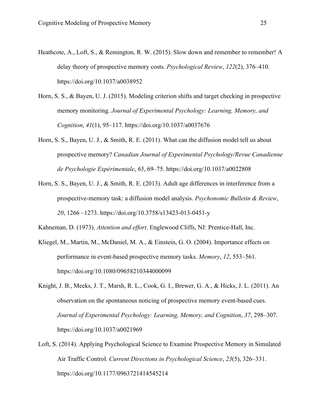- Heathcote, A., Loft, S., & Remington, R. W. (2015). Slow down and remember to remember! A delay theory of prospective memory costs. *Psychological Review*, *122*(2), 376–410. https://doi.org/10.1037/a0038952
- Horn, S. S., & Bayen, U. J. (2015). Modeling criterion shifts and target checking in prospective memory monitoring. *Journal of Experimental Psychology: Learning, Memory, and Cognition*, *41*(1), 95–117. https://doi.org/10.1037/a0037676
- Horn, S. S., Bayen, U. J., & Smith, R. E. (2011). What can the diffusion model tell us about prospective memory? *Canadian Journal of Experimental Psychology/Revue Canadienne de Psychologie Expérimentale*, *65*, 69–75. https://doi.org/10.1037/a0022808
- Horn, S. S., Bayen, U. J., & Smith, R. E. (2013). Adult age differences in interference from a prospective-memory task: a diffusion model analysis. *Psychonomic Bulletin & Review*, *20*, 1266 –1273. https://doi.org/10.3758/s13423-013-0451-y

Kahneman, D. (1973). *Attention and effort*. Englewood Cliffs, NJ: Prentice-Hall, Inc.

- Kliegel, M., Martin, M., McDaniel, M. A., & Einstein, G. O. (2004). Importance effects on performance in event‐based prospective memory tasks. *Memory*, *12*, 553–561. https://doi.org/10.1080/09658210344000099
- Knight, J. B., Meeks, J. T., Marsh, R. L., Cook, G. I., Brewer, G. A., & Hicks, J. L. (2011). An observation on the spontaneous noticing of prospective memory event-based cues. *Journal of Experimental Psychology: Learning, Memory, and Cognition*, *37*, 298–307. https://doi.org/10.1037/a0021969
- Loft, S. (2014). Applying Psychological Science to Examine Prospective Memory in Simulated Air Traffic Control. *Current Directions in Psychological Science*, *23*(5), 326–331. https://doi.org/10.1177/0963721414545214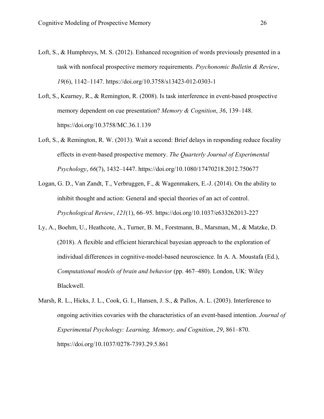- Loft, S., & Humphreys, M. S. (2012). Enhanced recognition of words previously presented in a task with nonfocal prospective memory requirements. *Psychonomic Bulletin & Review*, *19*(6), 1142–1147. https://doi.org/10.3758/s13423-012-0303-1
- Loft, S., Kearney, R., & Remington, R. (2008). Is task interference in event-based prospective memory dependent on cue presentation? *Memory & Cognition*, *36*, 139–148. https://doi.org/10.3758/MC.36.1.139
- Loft, S., & Remington, R. W. (2013). Wait a second: Brief delays in responding reduce focality effects in event-based prospective memory. *The Quarterly Journal of Experimental Psychology*, *66*(7), 1432–1447. https://doi.org/10.1080/17470218.2012.750677
- Logan, G. D., Van Zandt, T., Verbruggen, F., & Wagenmakers, E.-J. (2014). On the ability to inhibit thought and action: General and special theories of an act of control. *Psychological Review*, *121*(1), 66–95. https://doi.org/10.1037/e633262013-227
- Ly, A., Boehm, U., Heathcote, A., Turner, B. M., Forstmann, B., Marsman, M., & Matzke, D. (2018). A flexible and efficient hierarchical bayesian approach to the exploration of individual differences in cognitive‐model‐based neuroscience. In A. A. Moustafa (Ed.), *Computational models of brain and behavior* (pp. 467–480). London, UK: Wiley Blackwell.
- Marsh, R. L., Hicks, J. L., Cook, G. I., Hansen, J. S., & Pallos, A. L. (2003). Interference to ongoing activities covaries with the characteristics of an event-based intention. *Journal of Experimental Psychology: Learning, Memory, and Cognition*, *29*, 861–870. https://doi.org/10.1037/0278-7393.29.5.861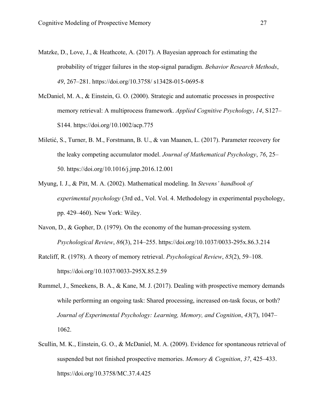- Matzke, D., Love, J., & Heathcote, A. (2017). A Bayesian approach for estimating the probability of trigger failures in the stop-signal paradigm. *Behavior Research Methods*, *49*, 267–281. https://doi.org/10.3758/ s13428-015-0695-8
- McDaniel, M. A., & Einstein, G. O. (2000). Strategic and automatic processes in prospective memory retrieval: A multiprocess framework. *Applied Cognitive Psychology*, *14*, S127– S144. https://doi.org/10.1002/acp.775
- Miletić, S., Turner, B. M., Forstmann, B. U., & van Maanen, L. (2017). Parameter recovery for the leaky competing accumulator model. *Journal of Mathematical Psychology*, *76*, 25– 50. https://doi.org/10.1016/j.jmp.2016.12.001
- Myung, I. J., & Pitt, M. A. (2002). Mathematical modeling. In *Stevens' handbook of experimental psychology* (3rd ed., Vol. Vol. 4. Methodology in experimental psychology, pp. 429–460). New York: Wiley.
- Navon, D., & Gopher, D. (1979). On the economy of the human-processing system. *Psychological Review*, *86*(3), 214–255. https://doi.org/10.1037/0033-295x.86.3.214
- Ratcliff, R. (1978). A theory of memory retrieval. *Psychological Review*, *85*(2), 59–108. https://doi.org/10.1037/0033-295X.85.2.59
- Rummel, J., Smeekens, B. A., & Kane, M. J. (2017). Dealing with prospective memory demands while performing an ongoing task: Shared processing, increased on-task focus, or both? *Journal of Experimental Psychology: Learning, Memory, and Cognition*, *43*(7), 1047– 1062.
- Scullin, M. K., Einstein, G. O., & McDaniel, M. A. (2009). Evidence for spontaneous retrieval of suspended but not finished prospective memories. *Memory & Cognition*, *37*, 425–433. https://doi.org/10.3758/MC.37.4.425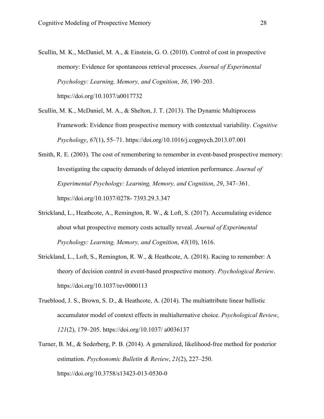- Scullin, M. K., McDaniel, M. A., & Einstein, G. O. (2010). Control of cost in prospective memory: Evidence for spontaneous retrieval processes. *Journal of Experimental Psychology: Learning, Memory, and Cognition*, *36*, 190–203. https://doi.org/10.1037/a0017732
- Scullin, M. K., McDaniel, M. A., & Shelton, J. T. (2013). The Dynamic Multiprocess Framework: Evidence from prospective memory with contextual variability. *Cognitive Psychology*, *67*(1), 55–71. https://doi.org/10.1016/j.cogpsych.2013.07.001
- Smith, R. E. (2003). The cost of remembering to remember in event-based prospective memory: Investigating the capacity demands of delayed intention performance. *Journal of Experimental Psychology: Learning, Memory, and Cognition*, *29*, 347–361. https://doi.org/10.1037/0278- 7393.29.3.347
- Strickland, L., Heathcote, A., Remington, R. W., & Loft, S. (2017). Accumulating evidence about what prospective memory costs actually reveal. *Journal of Experimental Psychology: Learning, Memory, and Cognition*, *43*(10), 1616.
- Strickland, L., Loft, S., Remington, R. W., & Heathcote, A. (2018). Racing to remember: A theory of decision control in event-based prospective memory. *Psychological Review*. https://doi.org/10.1037/rev0000113
- Trueblood, J. S., Brown, S. D., & Heathcote, A. (2014). The multiattribute linear ballistic accumulator model of context effects in multialternative choice. *Psychological Review*, *121*(2), 179–205. https://doi.org/10.1037/ a0036137
- Turner, B. M., & Sederberg, P. B. (2014). A generalized, likelihood-free method for posterior estimation. *Psychonomic Bulletin & Review*, *21*(2), 227–250. https://doi.org/10.3758/s13423-013-0530-0